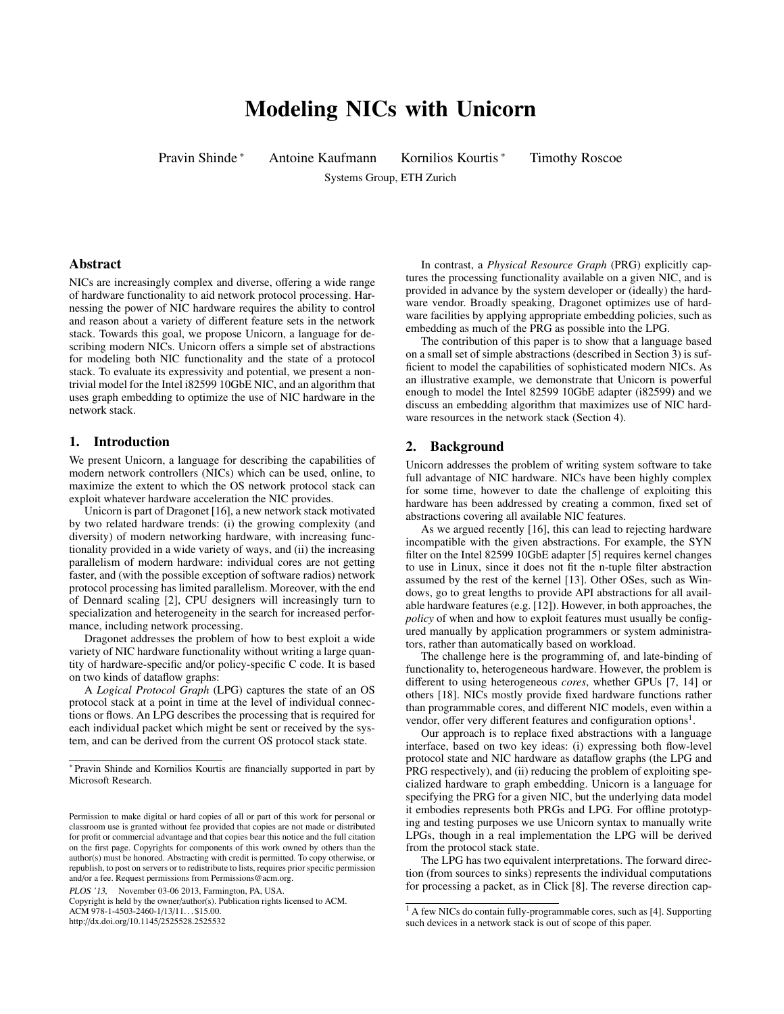# Modeling NICs with Unicorn

Pravin Shinde <sup>∗</sup> Antoine Kaufmann Kornilios Kourtis <sup>∗</sup> Timothy Roscoe

Systems Group, ETH Zurich

# Abstract

NICs are increasingly complex and diverse, offering a wide range of hardware functionality to aid network protocol processing. Harnessing the power of NIC hardware requires the ability to control and reason about a variety of different feature sets in the network stack. Towards this goal, we propose Unicorn, a language for describing modern NICs. Unicorn offers a simple set of abstractions for modeling both NIC functionality and the state of a protocol stack. To evaluate its expressivity and potential, we present a nontrivial model for the Intel i82599 10GbE NIC, and an algorithm that uses graph embedding to optimize the use of NIC hardware in the network stack.

# 1. Introduction

We present Unicorn, a language for describing the capabilities of modern network controllers (NICs) which can be used, online, to maximize the extent to which the OS network protocol stack can exploit whatever hardware acceleration the NIC provides.

Unicorn is part of Dragonet [16], a new network stack motivated by two related hardware trends: (i) the growing complexity (and diversity) of modern networking hardware, with increasing functionality provided in a wide variety of ways, and (ii) the increasing parallelism of modern hardware: individual cores are not getting faster, and (with the possible exception of software radios) network protocol processing has limited parallelism. Moreover, with the end of Dennard scaling [2], CPU designers will increasingly turn to specialization and heterogeneity in the search for increased performance, including network processing.

Dragonet addresses the problem of how to best exploit a wide variety of NIC hardware functionality without writing a large quantity of hardware-specific and/or policy-specific C code. It is based on two kinds of dataflow graphs:

A *Logical Protocol Graph* (LPG) captures the state of an OS protocol stack at a point in time at the level of individual connections or flows. An LPG describes the processing that is required for each individual packet which might be sent or received by the system, and can be derived from the current OS protocol stack state.

PLOS '13, November 03-06 2013, Farmington, PA, USA.

Copyright is held by the owner/author(s). Publication rights licensed to ACM. ACM 978-1-4503-2460-1/13/11...\$15.00.

http://dx.doi.org/10.1145/2525528.2525532

In contrast, a *Physical Resource Graph* (PRG) explicitly captures the processing functionality available on a given NIC, and is provided in advance by the system developer or (ideally) the hardware vendor. Broadly speaking, Dragonet optimizes use of hardware facilities by applying appropriate embedding policies, such as embedding as much of the PRG as possible into the LPG.

The contribution of this paper is to show that a language based on a small set of simple abstractions (described in Section 3) is sufficient to model the capabilities of sophisticated modern NICs. As an illustrative example, we demonstrate that Unicorn is powerful enough to model the Intel 82599 10GbE adapter (i82599) and we discuss an embedding algorithm that maximizes use of NIC hardware resources in the network stack (Section 4).

# 2. Background

Unicorn addresses the problem of writing system software to take full advantage of NIC hardware. NICs have been highly complex for some time, however to date the challenge of exploiting this hardware has been addressed by creating a common, fixed set of abstractions covering all available NIC features.

As we argued recently [16], this can lead to rejecting hardware incompatible with the given abstractions. For example, the SYN filter on the Intel 82599 10GbE adapter [5] requires kernel changes to use in Linux, since it does not fit the n-tuple filter abstraction assumed by the rest of the kernel [13]. Other OSes, such as Windows, go to great lengths to provide API abstractions for all available hardware features (e.g. [12]). However, in both approaches, the *policy* of when and how to exploit features must usually be configured manually by application programmers or system administrators, rather than automatically based on workload.

The challenge here is the programming of, and late-binding of functionality to, heterogeneous hardware. However, the problem is different to using heterogeneous *cores*, whether GPUs [7, 14] or others [18]. NICs mostly provide fixed hardware functions rather than programmable cores, and different NIC models, even within a vendor, offer very different features and configuration options<sup>1</sup>.

Our approach is to replace fixed abstractions with a language interface, based on two key ideas: (i) expressing both flow-level protocol state and NIC hardware as dataflow graphs (the LPG and PRG respectively), and (ii) reducing the problem of exploiting specialized hardware to graph embedding. Unicorn is a language for specifying the PRG for a given NIC, but the underlying data model it embodies represents both PRGs and LPG. For offline prototyping and testing purposes we use Unicorn syntax to manually write LPGs, though in a real implementation the LPG will be derived from the protocol stack state.

The LPG has two equivalent interpretations. The forward direction (from sources to sinks) represents the individual computations for processing a packet, as in Click [8]. The reverse direction cap-

<sup>∗</sup> Pravin Shinde and Kornilios Kourtis are financially supported in part by Microsoft Research.

Permission to make digital or hard copies of all or part of this work for personal or classroom use is granted without fee provided that copies are not made or distributed for profit or commercial advantage and that copies bear this notice and the full citation on the first page. Copyrights for components of this work owned by others than the author(s) must be honored. Abstracting with credit is permitted. To copy otherwise, or republish, to post on servers or to redistribute to lists, requires prior specific permission and/or a fee. Request permissions from Permissions@acm.org.

<sup>&</sup>lt;sup>1</sup> A few NICs do contain fully-programmable cores, such as [4]. Supporting such devices in a network stack is out of scope of this paper.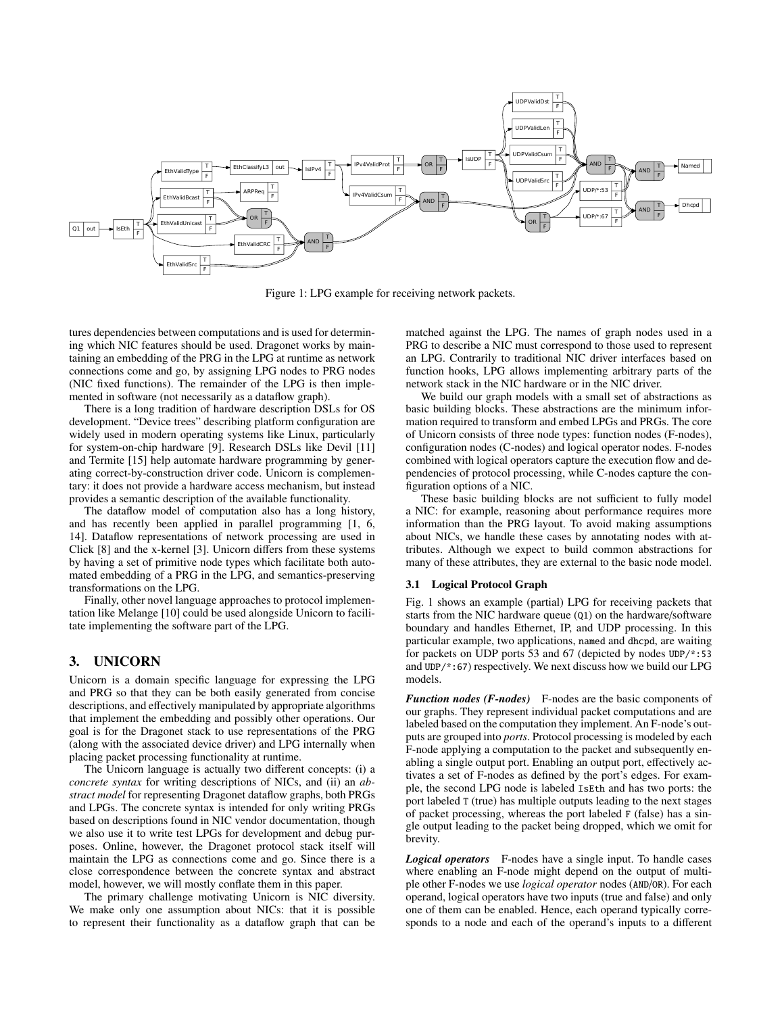

Figure 1: LPG example for receiving network packets.

tures dependencies between computations and is used for determining which NIC features should be used. Dragonet works by maintaining an embedding of the PRG in the LPG at runtime as network connections come and go, by assigning LPG nodes to PRG nodes (NIC fixed functions). The remainder of the LPG is then implemented in software (not necessarily as a dataflow graph).

There is a long tradition of hardware description DSLs for OS development. "Device trees" describing platform configuration are widely used in modern operating systems like Linux, particularly for system-on-chip hardware [9]. Research DSLs like Devil [11] and Termite [15] help automate hardware programming by generating correct-by-construction driver code. Unicorn is complementary: it does not provide a hardware access mechanism, but instead provides a semantic description of the available functionality.

The dataflow model of computation also has a long history, and has recently been applied in parallel programming [1, 6, 14]. Dataflow representations of network processing are used in Click [8] and the x-kernel [3]. Unicorn differs from these systems by having a set of primitive node types which facilitate both automated embedding of a PRG in the LPG, and semantics-preserving transformations on the LPG.

Finally, other novel language approaches to protocol implementation like Melange [10] could be used alongside Unicorn to facilitate implementing the software part of the LPG.

# 3. UNICORN

Unicorn is a domain specific language for expressing the LPG and PRG so that they can be both easily generated from concise descriptions, and effectively manipulated by appropriate algorithms that implement the embedding and possibly other operations. Our goal is for the Dragonet stack to use representations of the PRG (along with the associated device driver) and LPG internally when placing packet processing functionality at runtime.

The Unicorn language is actually two different concepts: (i) a *concrete syntax* for writing descriptions of NICs, and (ii) an *abstract model* for representing Dragonet dataflow graphs, both PRGs and LPGs. The concrete syntax is intended for only writing PRGs based on descriptions found in NIC vendor documentation, though we also use it to write test LPGs for development and debug purposes. Online, however, the Dragonet protocol stack itself will maintain the LPG as connections come and go. Since there is a close correspondence between the concrete syntax and abstract model, however, we will mostly conflate them in this paper.

The primary challenge motivating Unicorn is NIC diversity. We make only one assumption about NICs: that it is possible to represent their functionality as a dataflow graph that can be matched against the LPG. The names of graph nodes used in a PRG to describe a NIC must correspond to those used to represent an LPG. Contrarily to traditional NIC driver interfaces based on function hooks, LPG allows implementing arbitrary parts of the network stack in the NIC hardware or in the NIC driver.

We build our graph models with a small set of abstractions as basic building blocks. These abstractions are the minimum information required to transform and embed LPGs and PRGs. The core of Unicorn consists of three node types: function nodes (F-nodes), configuration nodes (C-nodes) and logical operator nodes. F-nodes combined with logical operators capture the execution flow and dependencies of protocol processing, while C-nodes capture the configuration options of a NIC.

These basic building blocks are not sufficient to fully model a NIC: for example, reasoning about performance requires more information than the PRG layout. To avoid making assumptions about NICs, we handle these cases by annotating nodes with attributes. Although we expect to build common abstractions for many of these attributes, they are external to the basic node model.

### 3.1 Logical Protocol Graph

Fig. 1 shows an example (partial) LPG for receiving packets that starts from the NIC hardware queue (Q1) on the hardware/software boundary and handles Ethernet, IP, and UDP processing. In this particular example, two applications, named and dhcpd, are waiting for packets on UDP ports 53 and 67 (depicted by nodes UDP/\*:53 and UDP/\*:67) respectively. We next discuss how we build our LPG models.

*Function nodes (F-nodes)* F-nodes are the basic components of our graphs. They represent individual packet computations and are labeled based on the computation they implement. An F-node's outputs are grouped into *ports*. Protocol processing is modeled by each F-node applying a computation to the packet and subsequently enabling a single output port. Enabling an output port, effectively activates a set of F-nodes as defined by the port's edges. For example, the second LPG node is labeled IsEth and has two ports: the port labeled T (true) has multiple outputs leading to the next stages of packet processing, whereas the port labeled F (false) has a single output leading to the packet being dropped, which we omit for brevity.

*Logical operators* F-nodes have a single input. To handle cases where enabling an F-node might depend on the output of multiple other F-nodes we use *logical operator* nodes (AND/OR). For each operand, logical operators have two inputs (true and false) and only one of them can be enabled. Hence, each operand typically corresponds to a node and each of the operand's inputs to a different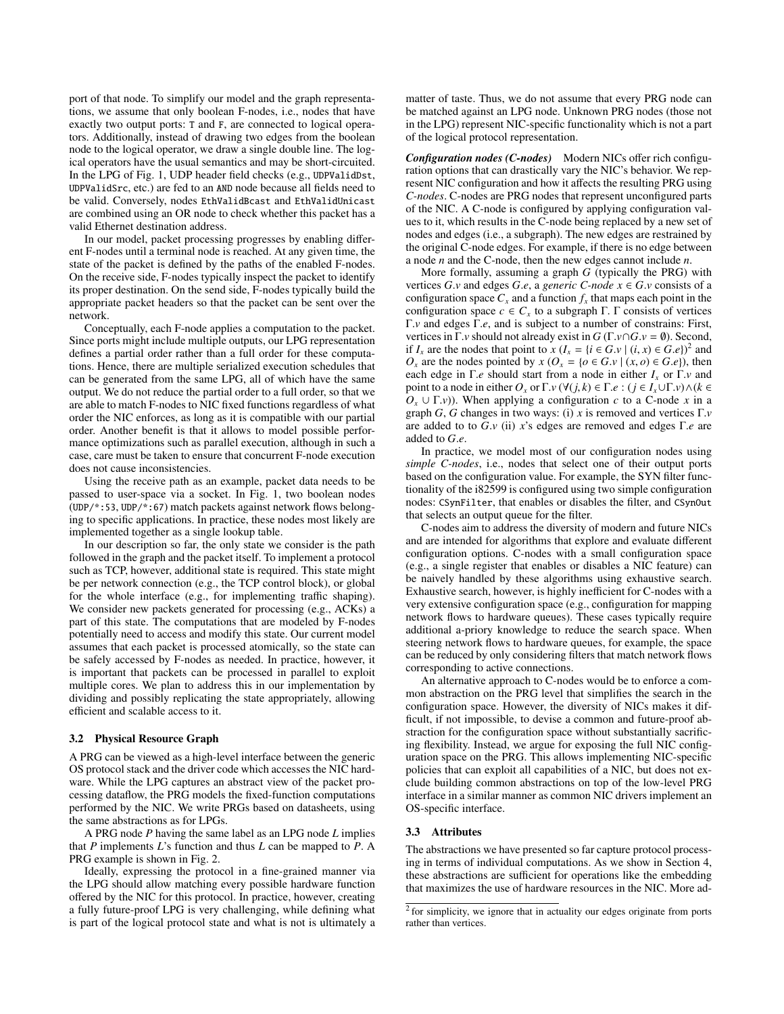port of that node. To simplify our model and the graph representations, we assume that only boolean F-nodes, i.e., nodes that have exactly two output ports: T and F, are connected to logical operators. Additionally, instead of drawing two edges from the boolean node to the logical operator, we draw a single double line. The logical operators have the usual semantics and may be short-circuited. In the LPG of Fig. 1, UDP header field checks (e.g., UDPValidDst, UDPValidSrc, etc.) are fed to an AND node because all fields need to be valid. Conversely, nodes EthValidBcast and EthValidUnicast are combined using an OR node to check whether this packet has a valid Ethernet destination address.

In our model, packet processing progresses by enabling different F-nodes until a terminal node is reached. At any given time, the state of the packet is defined by the paths of the enabled F-nodes. On the receive side, F-nodes typically inspect the packet to identify its proper destination. On the send side, F-nodes typically build the appropriate packet headers so that the packet can be sent over the network.

Conceptually, each F-node applies a computation to the packet. Since ports might include multiple outputs, our LPG representation defines a partial order rather than a full order for these computations. Hence, there are multiple serialized execution schedules that can be generated from the same LPG, all of which have the same output. We do not reduce the partial order to a full order, so that we are able to match F-nodes to NIC fixed functions regardless of what order the NIC enforces, as long as it is compatible with our partial order. Another benefit is that it allows to model possible performance optimizations such as parallel execution, although in such a case, care must be taken to ensure that concurrent F-node execution does not cause inconsistencies.

Using the receive path as an example, packet data needs to be passed to user-space via a socket. In Fig. 1, two boolean nodes (UDP/\*:53, UDP/\*:67) match packets against network flows belonging to specific applications. In practice, these nodes most likely are implemented together as a single lookup table.

In our description so far, the only state we consider is the path followed in the graph and the packet itself. To implement a protocol such as TCP, however, additional state is required. This state might be per network connection (e.g., the TCP control block), or global for the whole interface (e.g., for implementing traffic shaping). We consider new packets generated for processing (e.g., ACKs) a part of this state. The computations that are modeled by F-nodes potentially need to access and modify this state. Our current model assumes that each packet is processed atomically, so the state can be safely accessed by F-nodes as needed. In practice, however, it is important that packets can be processed in parallel to exploit multiple cores. We plan to address this in our implementation by dividing and possibly replicating the state appropriately, allowing efficient and scalable access to it.

#### 3.2 Physical Resource Graph

A PRG can be viewed as a high-level interface between the generic OS protocol stack and the driver code which accesses the NIC hardware. While the LPG captures an abstract view of the packet processing dataflow, the PRG models the fixed-function computations performed by the NIC. We write PRGs based on datasheets, using the same abstractions as for LPGs.

A PRG node *P* having the same label as an LPG node *L* implies that *P* implements *L*'s function and thus *L* can be mapped to *P*. A PRG example is shown in Fig. 2.

Ideally, expressing the protocol in a fine-grained manner via the LPG should allow matching every possible hardware function offered by the NIC for this protocol. In practice, however, creating a fully future-proof LPG is very challenging, while defining what is part of the logical protocol state and what is not is ultimately a matter of taste. Thus, we do not assume that every PRG node can be matched against an LPG node. Unknown PRG nodes (those not in the LPG) represent NIC-specific functionality which is not a part of the logical protocol representation.

*Configuration nodes (C-nodes)* Modern NICs offer rich configuration options that can drastically vary the NIC's behavior. We represent NIC configuration and how it affects the resulting PRG using *C-nodes*. C-nodes are PRG nodes that represent unconfigured parts of the NIC. A C-node is configured by applying configuration values to it, which results in the C-node being replaced by a new set of nodes and edges (i.e., a subgraph). The new edges are restrained by the original C-node edges. For example, if there is no edge between a node *n* and the C-node, then the new edges cannot include *n*.

More formally, assuming a graph *G* (typically the PRG) with vertices  $G \cdot v$  and edges  $G \cdot e$ , a *generic C-node*  $x \in G \cdot v$  consists of a configuration space  $C_x$  and a function  $f_x$  that maps each point in the configuration space  $c \in C_x$  to a subgraph  $\Gamma$ .  $\Gamma$  consists of vertices <sup>Γ</sup>.*<sup>v</sup>* and edges <sup>Γ</sup>.*e*, and is subject to a number of constrains: First, vertices in  $\Gamma$ *.v* should not already exist in *G* ( $\Gamma$ *.v* $\cap$ *G.v* =  $\emptyset$ ). Second, if  $I_x$  are the nodes that point to  $x (I_x = \{i \in G, v \mid (i, x) \in G, e\})^2$  and  $O_x$  are the nodes pointed by  $x (O_x = \{o \in G, v \mid (x, o) \in G, e\})$  then *O*<sub>*x*</sub> are the nodes pointed by  $x$  (*O*<sub>*x*</sub> = { $o \in G$ *.v* | (*x*, *o*)  $\in G$ *.e*}), then each edge in <sup>Γ</sup>.*<sup>e</sup>* should start from a node in either *<sup>I</sup><sup>x</sup>* or <sup>Γ</sup>.*<sup>v</sup>* and point to a node in either  $O_x$  or  $\Gamma \cdot v$  ( $\forall (j, k) \in \Gamma \cdot e : (j \in I_x \cup \Gamma \cdot v) \wedge (k \in$  $O_x$  ∪  $\Gamma$ *.v*)). When applying a configuration *c* to a C-node *x* in a graph *<sup>G</sup>*, *<sup>G</sup>* changes in two ways: (i) *<sup>x</sup>* is removed and vertices <sup>Γ</sup>.*<sup>v</sup>* are added to to *<sup>G</sup>*.*<sup>v</sup>* (ii) *<sup>x</sup>*'s edges are removed and edges <sup>Γ</sup>.*<sup>e</sup>* are added to *<sup>G</sup>*.*e*.

In practice, we model most of our configuration nodes using *simple C-nodes*, i.e., nodes that select one of their output ports based on the configuration value. For example, the SYN filter functionality of the i82599 is configured using two simple configuration nodes: CSynFilter, that enables or disables the filter, and CSynOut that selects an output queue for the filter.

C-nodes aim to address the diversity of modern and future NICs and are intended for algorithms that explore and evaluate different configuration options. C-nodes with a small configuration space (e.g., a single register that enables or disables a NIC feature) can be naively handled by these algorithms using exhaustive search. Exhaustive search, however, is highly inefficient for C-nodes with a very extensive configuration space (e.g., configuration for mapping network flows to hardware queues). These cases typically require additional a-priory knowledge to reduce the search space. When steering network flows to hardware queues, for example, the space can be reduced by only considering filters that match network flows corresponding to active connections.

An alternative approach to C-nodes would be to enforce a common abstraction on the PRG level that simplifies the search in the configuration space. However, the diversity of NICs makes it difficult, if not impossible, to devise a common and future-proof abstraction for the configuration space without substantially sacrificing flexibility. Instead, we argue for exposing the full NIC configuration space on the PRG. This allows implementing NIC-specific policies that can exploit all capabilities of a NIC, but does not exclude building common abstractions on top of the low-level PRG interface in a similar manner as common NIC drivers implement an OS-specific interface.

#### 3.3 Attributes

The abstractions we have presented so far capture protocol processing in terms of individual computations. As we show in Section 4, these abstractions are sufficient for operations like the embedding that maximizes the use of hardware resources in the NIC. More ad-

 $2$  for simplicity, we ignore that in actuality our edges originate from ports rather than vertices.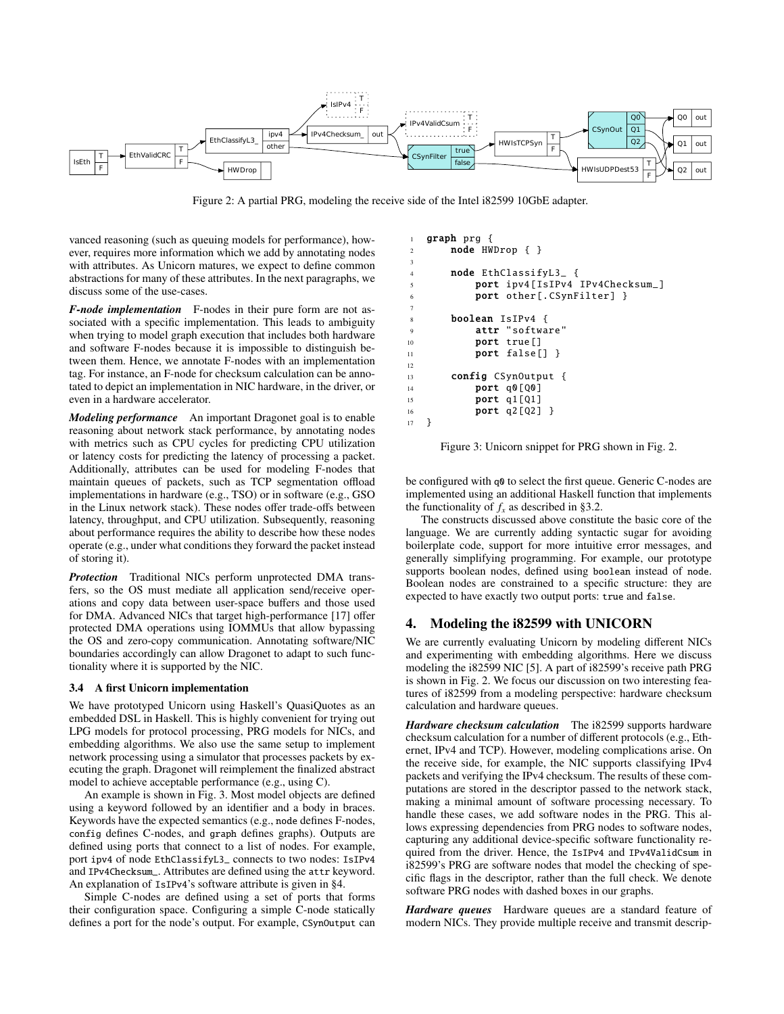

Figure 2: A partial PRG, modeling the receive side of the Intel i82599 10GbE adapter.

vanced reasoning (such as queuing models for performance), however, requires more information which we add by annotating nodes with attributes. As Unicorn matures, we expect to define common abstractions for many of these attributes. In the next paragraphs, we discuss some of the use-cases.

*F-node implementation* F-nodes in their pure form are not associated with a specific implementation. This leads to ambiguity when trying to model graph execution that includes both hardware and software F-nodes because it is impossible to distinguish between them. Hence, we annotate F-nodes with an implementation tag. For instance, an F-node for checksum calculation can be annotated to depict an implementation in NIC hardware, in the driver, or even in a hardware accelerator.

*Modeling performance* An important Dragonet goal is to enable reasoning about network stack performance, by annotating nodes with metrics such as CPU cycles for predicting CPU utilization or latency costs for predicting the latency of processing a packet. Additionally, attributes can be used for modeling F-nodes that maintain queues of packets, such as TCP segmentation offload implementations in hardware (e.g., TSO) or in software (e.g., GSO in the Linux network stack). These nodes offer trade-offs between latency, throughput, and CPU utilization. Subsequently, reasoning about performance requires the ability to describe how these nodes operate (e.g., under what conditions they forward the packet instead of storing it).

*Protection* Traditional NICs perform unprotected DMA transfers, so the OS must mediate all application send/receive operations and copy data between user-space buffers and those used for DMA. Advanced NICs that target high-performance [17] offer protected DMA operations using IOMMUs that allow bypassing the OS and zero-copy communication. Annotating software/NIC boundaries accordingly can allow Dragonet to adapt to such functionality where it is supported by the NIC.

#### 3.4 A first Unicorn implementation

We have prototyped Unicorn using Haskell's QuasiQuotes as an embedded DSL in Haskell. This is highly convenient for trying out LPG models for protocol processing, PRG models for NICs, and embedding algorithms. We also use the same setup to implement network processing using a simulator that processes packets by executing the graph. Dragonet will reimplement the finalized abstract model to achieve acceptable performance (e.g., using C).

An example is shown in Fig. 3. Most model objects are defined using a keyword followed by an identifier and a body in braces. Keywords have the expected semantics (e.g., node defines F-nodes, config defines C-nodes, and graph defines graphs). Outputs are defined using ports that connect to a list of nodes. For example, port ipv4 of node EthClassifyL3\_ connects to two nodes: IsIPv4 and IPv4Checksum\_. Attributes are defined using the attr keyword. An explanation of IsIPv4's software attribute is given in §4.

Simple C-nodes are defined using a set of ports that forms their configuration space. Configuring a simple C-node statically defines a port for the node's output. For example, CSynOutput can

```
1 graph prg {
2 node HWDrop { }
3
     node EthClassifyL3_ {
5 port ipv4[IsIPv4 IPv4Checksum_ ]
6 port other [. CSynFilter] }
7
8 boolean IsIPv4 {
9 attr "software"
10 port true []
11 port false [] }
12
13 config CSynOutput {
14 port q0[Q0]
15 port q1[Q1]
16 port q2[Q2] }
17 }
```
Figure 3: Unicorn snippet for PRG shown in Fig. 2.

be configured with q0 to select the first queue. Generic C-nodes are implemented using an additional Haskell function that implements the functionality of  $f_x$  as described in §3.2.

The constructs discussed above constitute the basic core of the language. We are currently adding syntactic sugar for avoiding boilerplate code, support for more intuitive error messages, and generally simplifying programming. For example, our prototype supports boolean nodes, defined using boolean instead of node. Boolean nodes are constrained to a specific structure: they are expected to have exactly two output ports: true and false.

## 4. Modeling the i82599 with UNICORN

We are currently evaluating Unicorn by modeling different NICs and experimenting with embedding algorithms. Here we discuss modeling the i82599 NIC [5]. A part of i82599's receive path PRG is shown in Fig. 2. We focus our discussion on two interesting features of i82599 from a modeling perspective: hardware checksum calculation and hardware queues.

*Hardware checksum calculation* The i82599 supports hardware checksum calculation for a number of different protocols (e.g., Ethernet, IPv4 and TCP). However, modeling complications arise. On the receive side, for example, the NIC supports classifying IPv4 packets and verifying the IPv4 checksum. The results of these computations are stored in the descriptor passed to the network stack, making a minimal amount of software processing necessary. To handle these cases, we add software nodes in the PRG. This allows expressing dependencies from PRG nodes to software nodes, capturing any additional device-specific software functionality required from the driver. Hence, the IsIPv4 and IPv4ValidCsum in i82599's PRG are software nodes that model the checking of specific flags in the descriptor, rather than the full check. We denote software PRG nodes with dashed boxes in our graphs.

*Hardware queues* Hardware queues are a standard feature of modern NICs. They provide multiple receive and transmit descrip-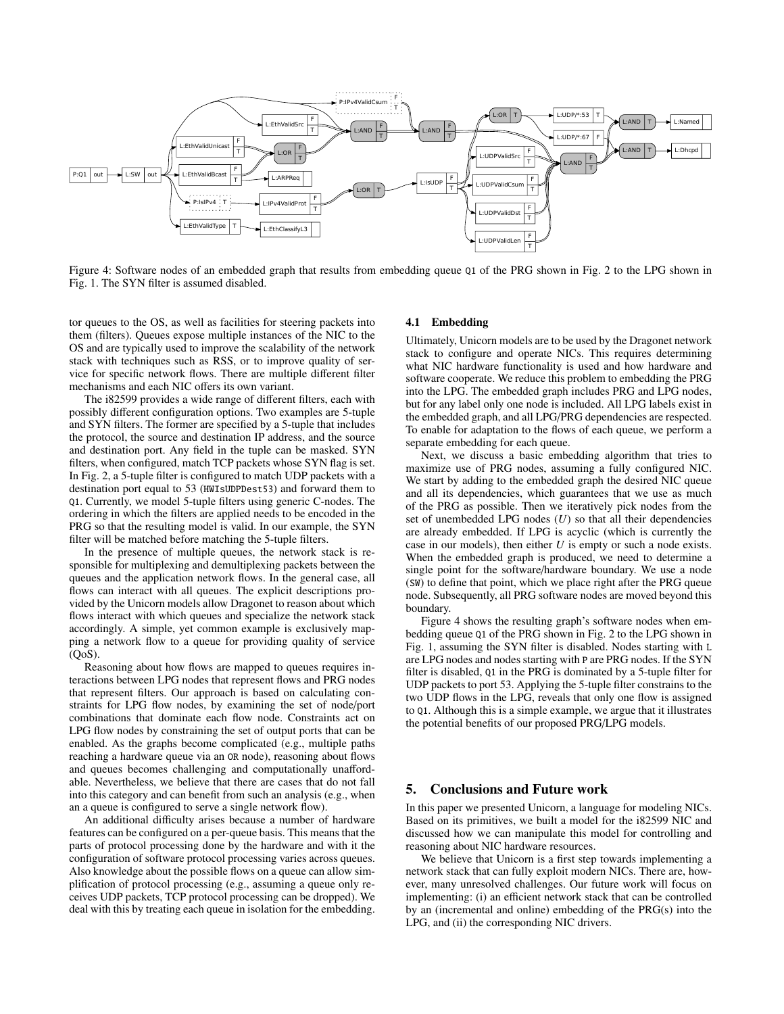

Figure 4: Software nodes of an embedded graph that results from embedding queue Q1 of the PRG shown in Fig. 2 to the LPG shown in Fig. 1. The SYN filter is assumed disabled.

tor queues to the OS, as well as facilities for steering packets into them (filters). Queues expose multiple instances of the NIC to the OS and are typically used to improve the scalability of the network stack with techniques such as RSS, or to improve quality of service for specific network flows. There are multiple different filter mechanisms and each NIC offers its own variant.

The i82599 provides a wide range of different filters, each with possibly different configuration options. Two examples are 5-tuple and SYN filters. The former are specified by a 5-tuple that includes the protocol, the source and destination IP address, and the source and destination port. Any field in the tuple can be masked. SYN filters, when configured, match TCP packets whose SYN flag is set. In Fig. 2, a 5-tuple filter is configured to match UDP packets with a destination port equal to 53 (HWIsUDPDest53) and forward them to Q1. Currently, we model 5-tuple filters using generic C-nodes. The ordering in which the filters are applied needs to be encoded in the PRG so that the resulting model is valid. In our example, the SYN filter will be matched before matching the 5-tuple filters.

In the presence of multiple queues, the network stack is responsible for multiplexing and demultiplexing packets between the queues and the application network flows. In the general case, all flows can interact with all queues. The explicit descriptions provided by the Unicorn models allow Dragonet to reason about which flows interact with which queues and specialize the network stack accordingly. A simple, yet common example is exclusively mapping a network flow to a queue for providing quality of service (QoS).

Reasoning about how flows are mapped to queues requires interactions between LPG nodes that represent flows and PRG nodes that represent filters. Our approach is based on calculating constraints for LPG flow nodes, by examining the set of node/port combinations that dominate each flow node. Constraints act on LPG flow nodes by constraining the set of output ports that can be enabled. As the graphs become complicated (e.g., multiple paths reaching a hardware queue via an OR node), reasoning about flows and queues becomes challenging and computationally unaffordable. Nevertheless, we believe that there are cases that do not fall into this category and can benefit from such an analysis (e.g., when an a queue is configured to serve a single network flow).

An additional difficulty arises because a number of hardware features can be configured on a per-queue basis. This means that the parts of protocol processing done by the hardware and with it the configuration of software protocol processing varies across queues. Also knowledge about the possible flows on a queue can allow simplification of protocol processing (e.g., assuming a queue only receives UDP packets, TCP protocol processing can be dropped). We deal with this by treating each queue in isolation for the embedding.

#### 4.1 Embedding

Ultimately, Unicorn models are to be used by the Dragonet network stack to configure and operate NICs. This requires determining what NIC hardware functionality is used and how hardware and software cooperate. We reduce this problem to embedding the PRG into the LPG. The embedded graph includes PRG and LPG nodes, but for any label only one node is included. All LPG labels exist in the embedded graph, and all LPG/PRG dependencies are respected. To enable for adaptation to the flows of each queue, we perform a separate embedding for each queue.

Next, we discuss a basic embedding algorithm that tries to maximize use of PRG nodes, assuming a fully configured NIC. We start by adding to the embedded graph the desired NIC queue and all its dependencies, which guarantees that we use as much of the PRG as possible. Then we iteratively pick nodes from the set of unembedded LPG nodes (*U*) so that all their dependencies are already embedded. If LPG is acyclic (which is currently the case in our models), then either *U* is empty or such a node exists. When the embedded graph is produced, we need to determine a single point for the software/hardware boundary. We use a node (SW) to define that point, which we place right after the PRG queue node. Subsequently, all PRG software nodes are moved beyond this boundary.

Figure 4 shows the resulting graph's software nodes when embedding queue Q1 of the PRG shown in Fig. 2 to the LPG shown in Fig. 1, assuming the SYN filter is disabled. Nodes starting with L are LPG nodes and nodes starting with P are PRG nodes. If the SYN filter is disabled, Q1 in the PRG is dominated by a 5-tuple filter for UDP packets to port 53. Applying the 5-tuple filter constrains to the two UDP flows in the LPG, reveals that only one flow is assigned to Q1. Although this is a simple example, we argue that it illustrates the potential benefits of our proposed PRG/LPG models.

# 5. Conclusions and Future work

In this paper we presented Unicorn, a language for modeling NICs. Based on its primitives, we built a model for the i82599 NIC and discussed how we can manipulate this model for controlling and reasoning about NIC hardware resources.

We believe that Unicorn is a first step towards implementing a network stack that can fully exploit modern NICs. There are, however, many unresolved challenges. Our future work will focus on implementing: (i) an efficient network stack that can be controlled by an (incremental and online) embedding of the PRG(s) into the LPG, and (ii) the corresponding NIC drivers.